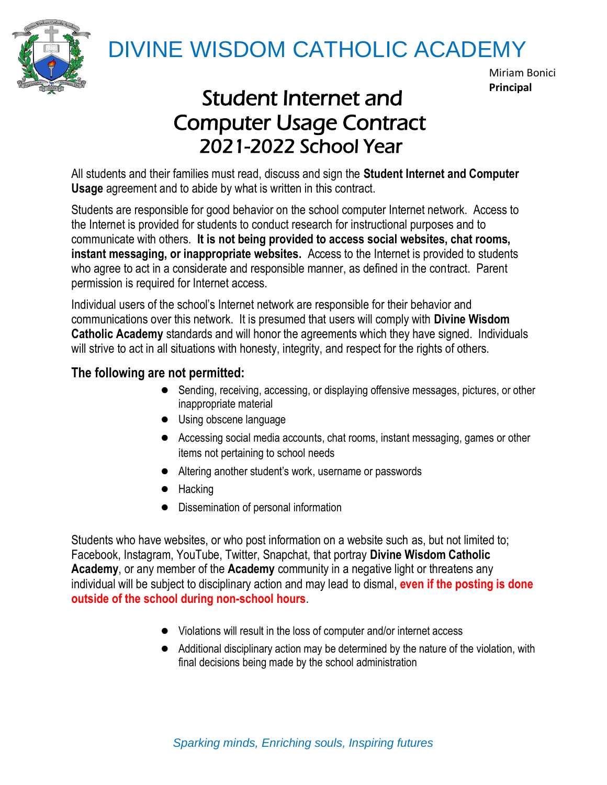

## DIVINE WISDOM CATHOLIC ACADEMY

Miriam Bonici **Principal**

### Student Internet and Computer Usage Contract 2021-2022 School Year

All students and their families must read, discuss and sign the **Student Internet and Computer Usage** agreement and to abide by what is written in this contract.

Students are responsible for good behavior on the school computer Internet network. Access to the Internet is provided for students to conduct research for instructional purposes and to communicate with others. **It is not being provided to access social websites, chat rooms, instant messaging, or inappropriate websites.** Access to the Internet is provided to students who agree to act in a considerate and responsible manner, as defined in the contract. Parent permission is required for Internet access.

Individual users of the school's Internet network are responsible for their behavior and communications over this network. It is presumed that users will comply with **Divine Wisdom Catholic Academy** standards and will honor the agreements which they have signed. Individuals will strive to act in all situations with honesty, integrity, and respect for the rights of others.

#### **The following are not permitted:**

- **●** Sending, receiving, accessing, or displaying offensive messages, pictures, or other inappropriate material
- **●** Using obscene language
- **●** Accessing social media accounts, chat rooms, instant messaging, games or other items not pertaining to school needs
- **●** Altering another student's work, username or passwords
- **●** Hacking
- **●** Dissemination of personal information

Students who have websites, or who post information on a website such as, but not limited to; Facebook, Instagram, YouTube, Twitter, Snapchat, that portray **Divine Wisdom Catholic Academy**, or any member of the **Academy** community in a negative light or threatens any individual will be subject to disciplinary action and may lead to dismal, **even if the posting is done outside of the school during non-school hours**.

- **●** Violations will result in the loss of computer and/or internet access
- **●** Additional disciplinary action may be determined by the nature of the violation, with final decisions being made by the school administration